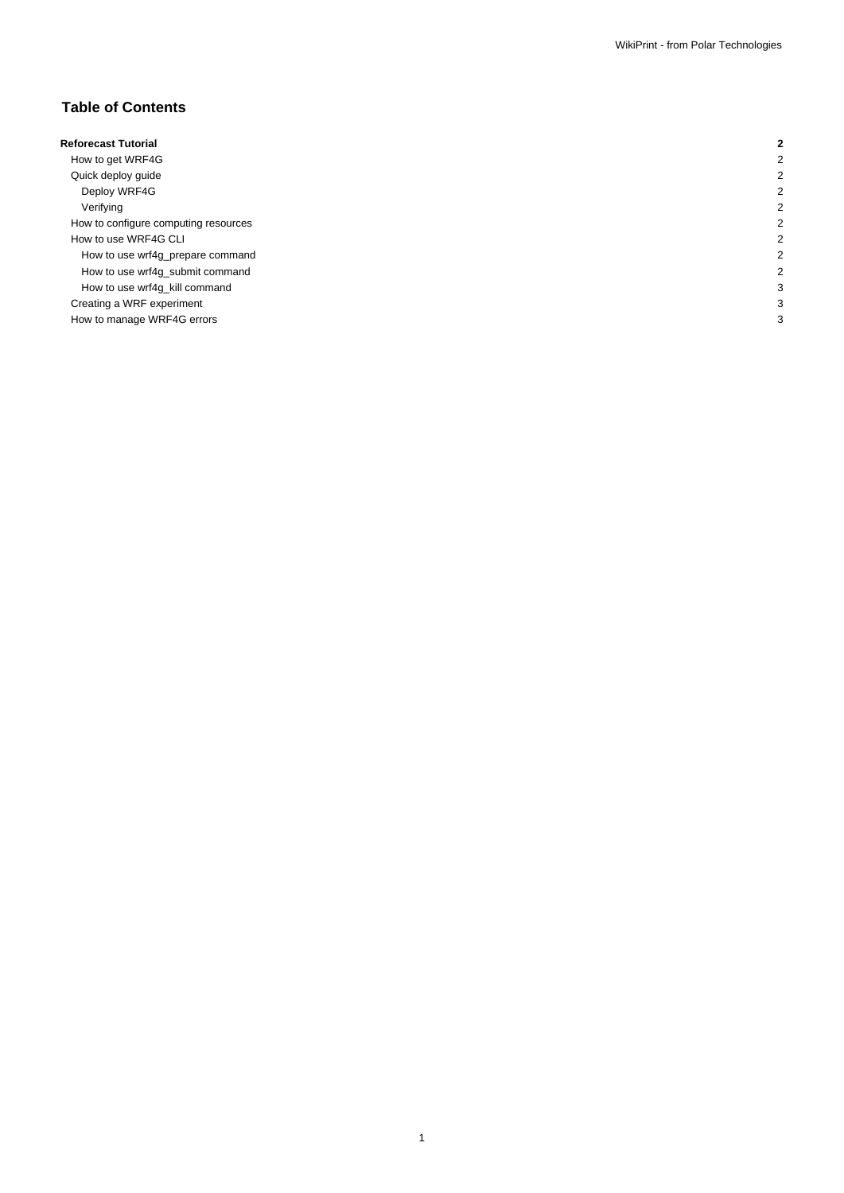# **Table of Contents**

| <b>Reforecast Tutorial</b>           |  |
|--------------------------------------|--|
| How to get WRF4G                     |  |
| Quick deploy guide                   |  |
| Deploy WRF4G                         |  |
| Verifying                            |  |
| How to configure computing resources |  |
| How to use WRF4G CLI                 |  |
| How to use wrf4g_prepare command     |  |
| How to use wrf4g_submit command      |  |
| How to use wrf4g_kill command        |  |
| Creating a WRF experiment            |  |
| How to manage WRF4G errors           |  |
|                                      |  |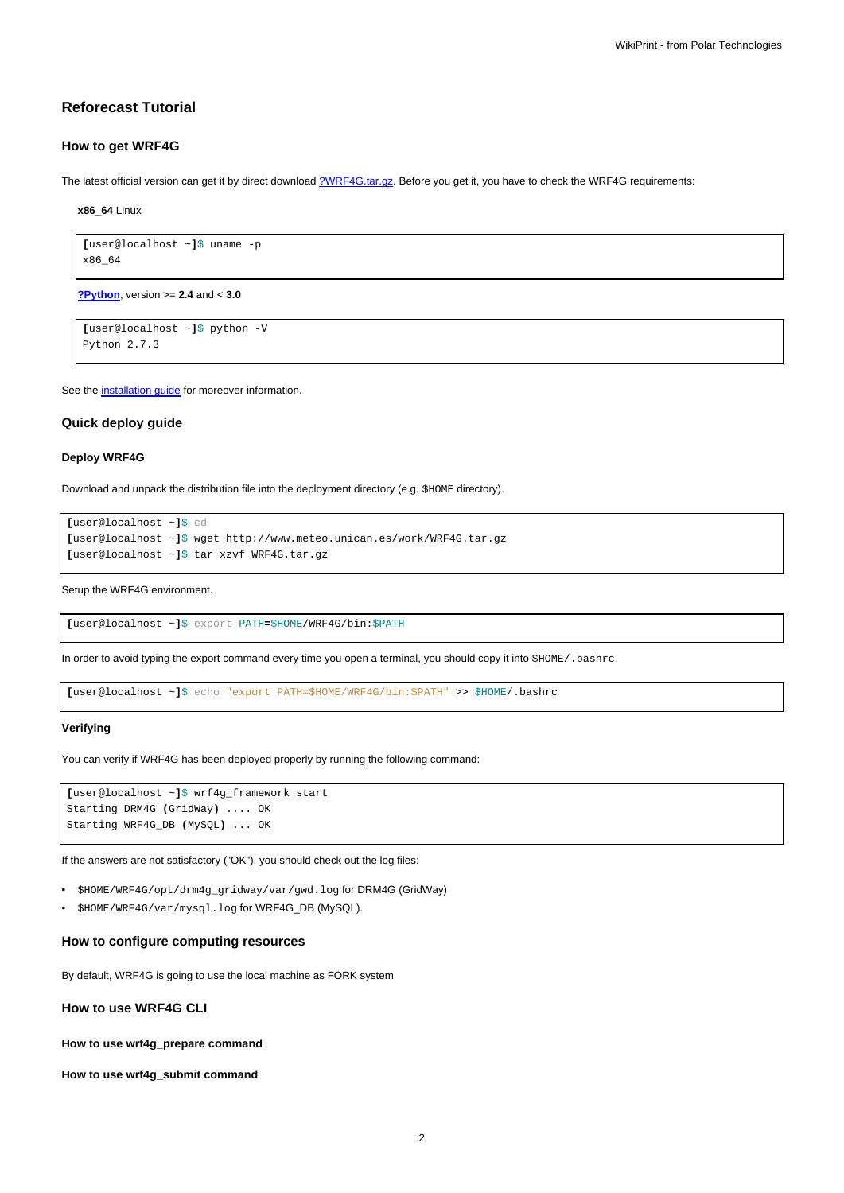## **Reforecast Tutorial**

### **How to get WRF4G**

The latest official version can get it by direct download [?WRF4G.tar.gz](http://www.meteo.macc.unican.es/work/WRF4G.tar.gz). Before you get it, you have to check the WRF4G requirements:

**x86\_64** Linux

```
[user@localhost ~]$ uname -p
x86_64
```
**[?Python](http://www.python.org/)**, version >= **2.4** and < **3.0**

```
[user@localhost ~]$ python -V
Python 2.7.3
```
See the [installation guide](https://meteo.unican.es/trac/wiki/WRF4GInstall) for moreover information.

#### **Quick deploy guide**

#### **Deploy WRF4G**

Download and unpack the distribution file into the deployment directory (e.g. \$HOME directory).

```
[user@localhost ~]$ cd
[user@localhost ~]$ wget http://www.meteo.unican.es/work/WRF4G.tar.gz
[user@localhost ~]$ tar xzvf WRF4G.tar.gz
```
Setup the WRF4G environment.

**[**user@localhost ~**]**\$ export PATH**=**\$HOME/WRF4G/bin:\$PATH

In order to avoid typing the export command every time you open a terminal, you should copy it into \$HOME/.bashrc.

**[**user@localhost ~**]**\$ echo "export PATH=\$HOME/WRF4G/bin:\$PATH" >> \$HOME/.bashrc

#### **Verifying**

You can verify if WRF4G has been deployed properly by running the following command:

```
[user@localhost ~]$ wrf4g_framework start
Starting DRM4G (GridWay) .... OK
Starting WRF4G_DB (MySQL) ... OK
```
If the answers are not satisfactory ("OK"), you should check out the log files:

- \$HOME/WRF4G/opt/drm4g\_gridway/var/gwd.log for DRM4G (GridWay)
- \$HOME/WRF4G/var/mysql.log for WRF4G\_DB (MySQL).

## **How to configure computing resources**

By default, WRF4G is going to use the local machine as FORK system

**How to use WRF4G CLI**

**How to use wrf4g\_prepare command**

**How to use wrf4g\_submit command**